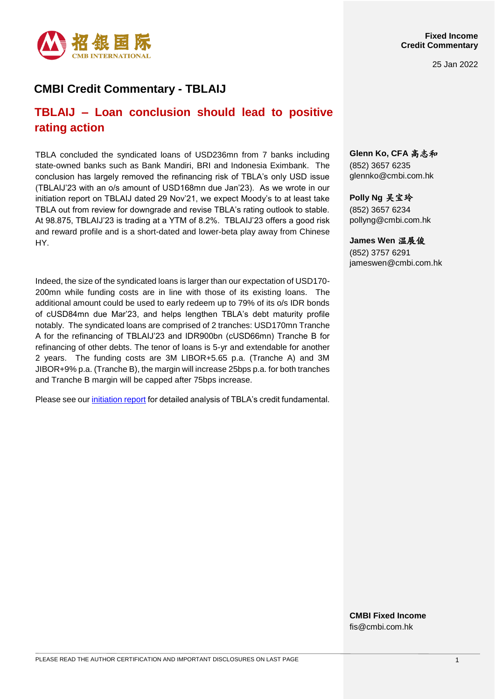

25 Jan 2022

## **CMBI Credit Commentary - TBLAIJ**

# **TBLAIJ – Loan conclusion should lead to positive rating action**

TBLA concluded the syndicated loans of USD236mn from 7 banks including state-owned banks such as Bank Mandiri, BRI and Indonesia Eximbank. The conclusion has largely removed the refinancing risk of TBLA's only USD issue (TBLAIJ'23 with an o/s amount of USD168mn due Jan'23). As we wrote in our initiation report on TBLAIJ dated 29 Nov'21, we expect Moody's to at least take TBLA out from review for downgrade and revise TBLA's rating outlook to stable. At 98.875, TBLAIJ'23 is trading at a YTM of 8.2%. TBLAIJ'23 offers a good risk and reward profile and is a short-dated and lower-beta play away from Chinese HY.

Indeed, the size of the syndicated loans is larger than our expectation of USD170- 200mn while funding costs are in line with those of its existing loans. The additional amount could be used to early redeem up to 79% of its o/s IDR bonds of cUSD84mn due Mar'23, and helps lengthen TBLA's debt maturity profile notably. The syndicated loans are comprised of 2 tranches: USD170mn Tranche A for the refinancing of TBLAIJ'23 and IDR900bn (cUSD66mn) Tranche B for refinancing of other debts. The tenor of loans is 5-yr and extendable for another 2 years. The funding costs are 3M LIBOR+5.65 p.a. (Tranche A) and 3M JIBOR+9% p.a. (Tranche B), the margin will increase 25bps p.a. for both tranches and Tranche B margin will be capped after 75bps increase.

Please see our *initiation report* for detailed analysis of TBLA's credit fundamental.

**Glenn Ko, CFA** 高志和 (852) 3657 6235 [glennko@cmbi.com.hk](mailto:glennko@cmbi.com.hk)

**Polly Ng** 吴宝玲 (852) 3657 6234 pollyng@cmbi.com.hk

**James Wen** 温展俊

(852) 3757 6291 jameswen@cmbi.com.hk

**CMBI Fixed Income** fis@cmbi.com.hk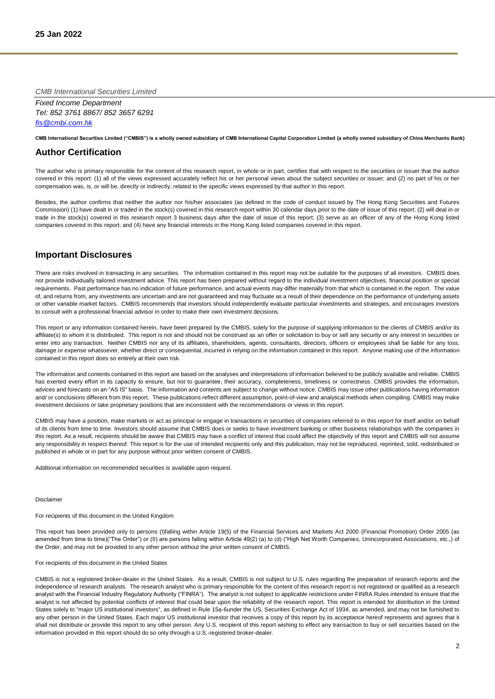*CMB International Securities Limited*

*Fixed Income Department Tel: 852 3761 8867/ 852 3657 6291 [fis@cmbi.com.hk](mailto:fis@cmbi.com.hk)*

**CMB International Securities Limited ("CMBIS") is a wholly owned subsidiary of CMB International Capital Corporation Limited (a wholly owned subsidiary of China Merchants Bank)** 

## **Author Certification**

The author who is primary responsible for the content of this research report, in whole or in part, certifies that with respect to the securities or issuer that the author covered in this report: (1) all of the views expressed accurately reflect his or her personal views about the subject securities or issuer; and (2) no part of his or her compensation was, is, or will be, directly or indirectly, related to the specific views expressed by that author in this report.

Besides, the author confirms that neither the author nor his/her associates (as defined in the code of conduct issued by The Hong Kong Securities and Futures Commission) (1) have dealt in or traded in the stock(s) covered in this research report within 30 calendar days prior to the date of issue of this report; (2) will deal in or trade in the stock(s) covered in this research report 3 business days after the date of issue of this report; (3) serve as an officer of any of the Hong Kong listed companies covered in this report; and (4) have any financial interests in the Hong Kong listed companies covered in this report.

### **Important Disclosures**

There are risks involved in transacting in any securities. The information contained in this report may not be suitable for the purposes of all investors. CMBIS does not provide individually tailored investment advice. This report has been prepared without regard to the individual investment objectives, financial position or special requirements. Past performance has no indication of future performance, and actual events may differ materially from that which is contained in the report. The value of, and returns from, any investments are uncertain and are not guaranteed and may fluctuate as a result of their dependence on the performance of underlying assets or other variable market factors. CMBIS recommends that investors should independently evaluate particular investments and strategies, and encourages investors to consult with a professional financial advisor in order to make their own investment decisions.

This report or any information contained herein, have been prepared by the CMBIS, solely for the purpose of supplying information to the clients of CMBIS and/or its affiliate(s) to whom it is distributed. This report is not and should not be construed as an offer or solicitation to buy or sell any security or any interest in securities or enter into any transaction. Neither CMBIS nor any of its affiliates, shareholders, agents, consultants, directors, officers or employees shall be liable for any loss, damage or expense whatsoever, whether direct or consequential, incurred in relying on the information contained in this report. Anyone making use of the information contained in this report does so entirely at their own risk.

The information and contents contained in this report are based on the analyses and interpretations of information believed to be publicly available and reliable. CMBIS has exerted every effort in its capacity to ensure, but not to guarantee, their accuracy, completeness, timeliness or correctness. CMBIS provides the information, advices and forecasts on an "AS IS" basis. The information and contents are subject to change without notice. CMBIS may issue other publications having information and/ or conclusions different from this report. These publications reflect different assumption, point-of-view and analytical methods when compiling. CMBIS may make investment decisions or take proprietary positions that are inconsistent with the recommendations or views in this report.

CMBIS may have a position, make markets or act as principal or engage in transactions in securities of companies referred to in this report for itself and/or on behalf of its clients from time to time. Investors should assume that CMBIS does or seeks to have investment banking or other business relationships with the companies in this report. As a result, recipients should be aware that CMBIS may have a conflict of interest that could affect the objectivity of this report and CMBIS will not assume any responsibility in respect thereof. This report is for the use of intended recipients only and this publication, may not be reproduced, reprinted, sold, redistributed or published in whole or in part for any purpose without prior written consent of CMBIS.

Additional information on recommended securities is available upon request.

#### Disclaimer

For recipients of this document in the United Kingdom

This report has been provided only to persons (I)falling within Article 19(5) of the Financial Services and Markets Act 2000 (Financial Promotion) Order 2005 (as amended from time to time)("The Order") or (II) are persons falling within Article 49(2) (a) to (d) ("High Net Worth Companies, Unincorporated Associations, etc.,) of the Order, and may not be provided to any other person without the prior written consent of CMBIS.

#### For recipients of this document in the United States

CMBIS is not a registered broker-dealer in the United States. As a result, CMBIS is not subject to U.S. rules regarding the preparation of research reports and the independence of research analysts. The research analyst who is primary responsible for the content of this research report is not registered or qualified as a research analyst with the Financial Industry Regulatory Authority ("FINRA"). The analyst is not subject to applicable restrictions under FINRA Rules intended to ensure that the analyst is not affected by potential conflicts of interest that could bear upon the reliability of the research report. This report is intended for distribution in the United States solely to "major US institutional investors", as defined in Rule 15a-6under the US, Securities Exchange Act of 1934, as amended, and may not be furnished to any other person in the United States. Each major US institutional investor that receives a copy of this report by its acceptance hereof represents and agrees that it shall not distribute or provide this report to any other person. Any U.S. recipient of this report wishing to effect any transaction to buy or sell securities based on the information provided in this report should do so only through a U.S.-registered broker-dealer.